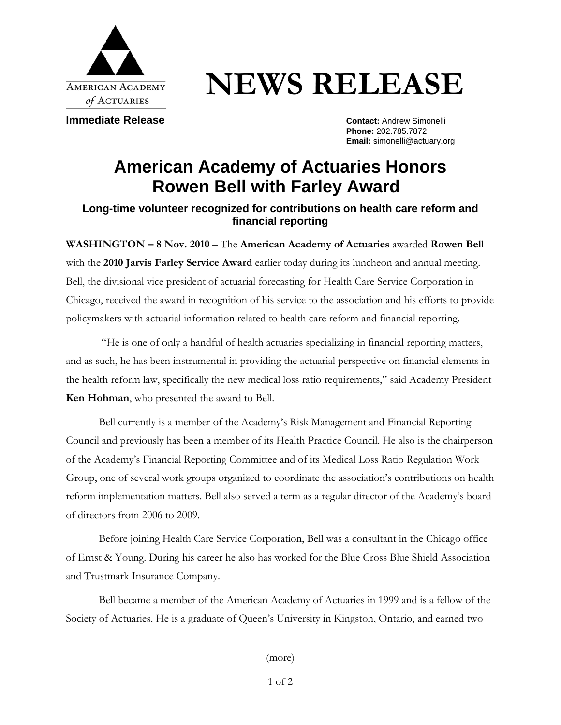

## **NEWS RELEASE**

**Immediate Release Contact: Andrew Simonelli** 

**Phone:** 202.785.7872 **Email:** simonelli@actuary.org

## **American Academy of Actuaries Honors Rowen Bell with Farley Award**

## **Long-time volunteer recognized for contributions on health care reform and financial reporting**

**WASHINGTON – 8 Nov. 2010** – The **American Academy of Actuaries** awarded **Rowen Bell**  with the **2010 Jarvis Farley Service Award** earlier today during its luncheon and annual meeting. Bell, the divisional vice president of actuarial forecasting for Health Care Service Corporation in Chicago, received the award in recognition of his service to the association and his efforts to provide policymakers with actuarial information related to health care reform and financial reporting.

 "He is one of only a handful of health actuaries specializing in financial reporting matters, and as such, he has been instrumental in providing the actuarial perspective on financial elements in the health reform law, specifically the new medical loss ratio requirements," said Academy President **Ken Hohman**, who presented the award to Bell.

Bell currently is a member of the Academy's Risk Management and Financial Reporting Council and previously has been a member of its Health Practice Council. He also is the chairperson of the Academy's Financial Reporting Committee and of its Medical Loss Ratio Regulation Work Group, one of several work groups organized to coordinate the association's contributions on health reform implementation matters. Bell also served a term as a regular director of the Academy's board of directors from 2006 to 2009.

Before joining Health Care Service Corporation, Bell was a consultant in the Chicago office of Ernst & Young. During his career he also has worked for the Blue Cross Blue Shield Association and Trustmark Insurance Company.

Bell became a member of the American Academy of Actuaries in 1999 and is a fellow of the Society of Actuaries. He is a graduate of Queen's University in Kingston, Ontario, and earned two

(more)

1 of 2